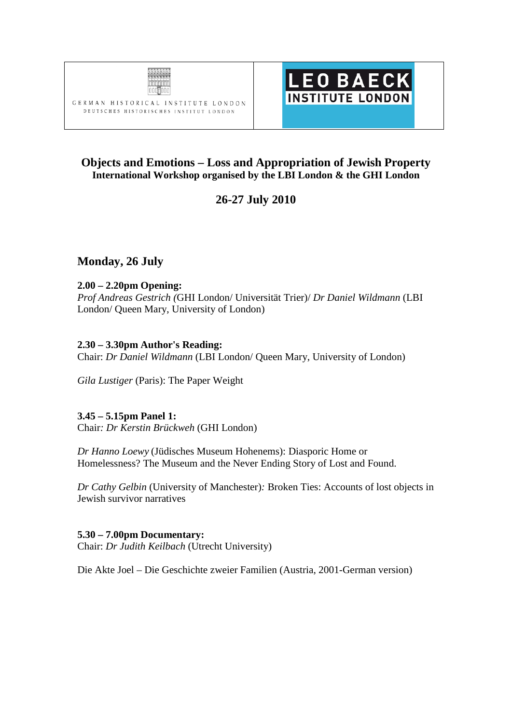



## **Objects and Emotions – Loss and Appropriation of Jewish Property International Workshop organised by the LBI London & the GHI London**

# **26-27 July 2010**

## **Monday, 26 July**

#### **2.00 – 2.20pm Opening:**

*Prof Andreas Gestrich (*GHI London/ Universität Trier)/ *Dr Daniel Wildmann* (LBI London/ Queen Mary, University of London)

### **2.30 – 3.30pm Author's Reading:**

Chair: *Dr Daniel Wildmann* (LBI London/ Queen Mary, University of London)

*Gila Lustiger* (Paris): The Paper Weight

### **3.45 – 5.15pm Panel 1:**

Chair*: Dr Kerstin Brückweh* (GHI London)

*Dr Hanno Loewy* (Jüdisches Museum Hohenems): Diasporic Home or Homelessness? The Museum and the Never Ending Story of Lost and Found.

*Dr Cathy Gelbin* (University of Manchester)*:* Broken Ties: Accounts of lost objects in Jewish survivor narratives

#### **5.30 – 7.00pm Documentary:**

Chair: *Dr Judith Keilbach* (Utrecht University)

Die Akte Joel – Die Geschichte zweier Familien (Austria, 2001-German version)